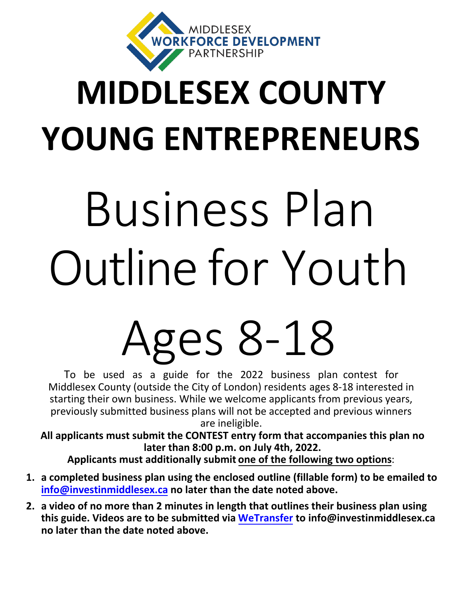

## **MIDDLESEX COUNTY YOUNG ENTREPRENEURS**

# Business Plan Outline for Youth

# Ages 8-18

To be used as a guide for the 2022 business plan contest for Middlesex County (outside the City of London) residents ages 8-18 interested in starting their own business. While we welcome applicants from previous years, previously submitted business plans will not be accepted and previous winners are ineligible.

**[All applicants must submit the](info@investinmiddlesex.ca) CONTEST entry form that accompanies this plan no later than 8:00 p.m. on July 4th, 2022.** 

**Applicants must additionally submit one of the following two options**:

- **1. a completed business plan using the enclosed outline (fillable form) to be emailed to info@investinmiddlesex.ca no later than t[he date note](www.wetransfer.com)d above.**
- **2. a video of no more than 2 minutes in length that outlines their business plan using this guide. Videos are to be submitted via WeTransfer to info@investinmiddlesex.ca no later than the date noted above.**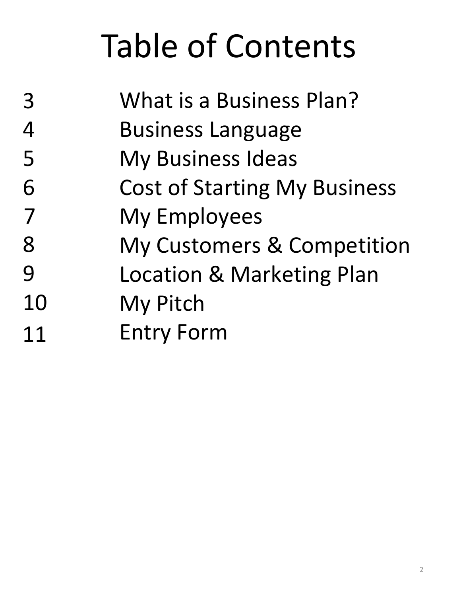## Table of Contents

| 3  | What is a Business Plan?            |
|----|-------------------------------------|
| 4  | <b>Business Language</b>            |
| 5  | <b>My Business Ideas</b>            |
| 6  | <b>Cost of Starting My Business</b> |
| 7  | <b>My Employees</b>                 |
| 8  | My Customers & Competition          |
| 9  | Location & Marketing Plan           |
| 10 | My Pitch                            |
| 11 | <b>Entry Form</b>                   |
|    |                                     |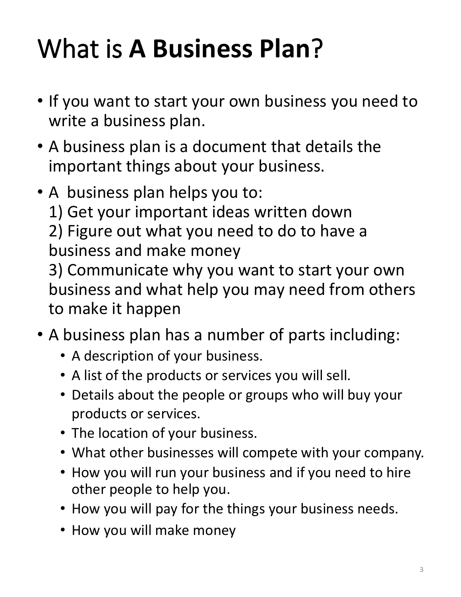#### What is **A Business Plan**?

- If you want to start your own business you need to write a business plan.
- A business plan is a document that details the important things about your business.
- A business plan helps you to:

1) Get your important ideas written down

2) Figure out what you need to do to have a business and make money

3) Communicate why you want to start your own business and what help you may need from others to make it happen

- A business plan has a number of parts including:
	- A description of your business.
	- A list of the products or services you will sell.
	- Details about the people or groups who will buy your products or services.
	- The location of your business.
	- What other businesses will compete with your company.
	- How you will run your business and if you need to hire other people to help you.
	- How you will pay for the things your business needs.
	- How you will make money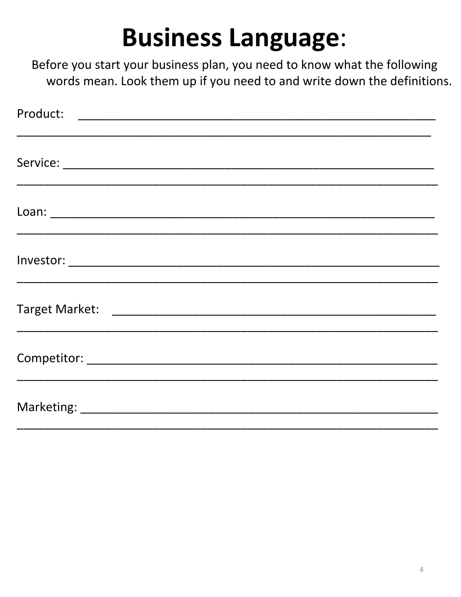#### **Business Language:**

Before you start your business plan, you need to know what the following words mean. Look them up if you need to and write down the definitions.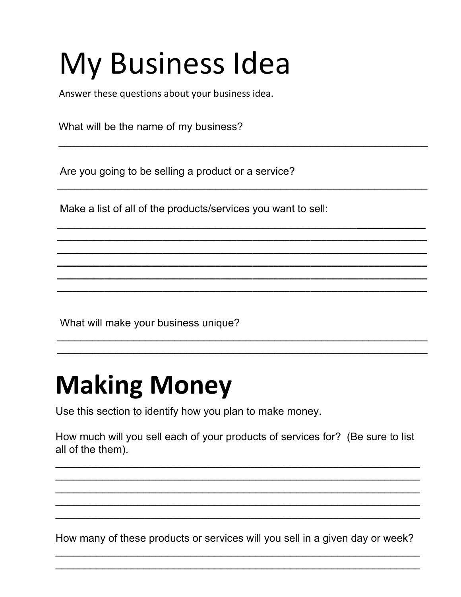### **My Business Idea**

Answer these questions about your business idea.

What will be the name of my business?

Are you going to be selling a product or a service?

Make a list of all of the products/services you want to sell:

What will make your business unique?

#### **Making Money**

Use this section to identify how you plan to make money.

How much will you sell each of your products of services for? (Be sure to list all of the them).

How many of these products or services will you sell in a given day or week?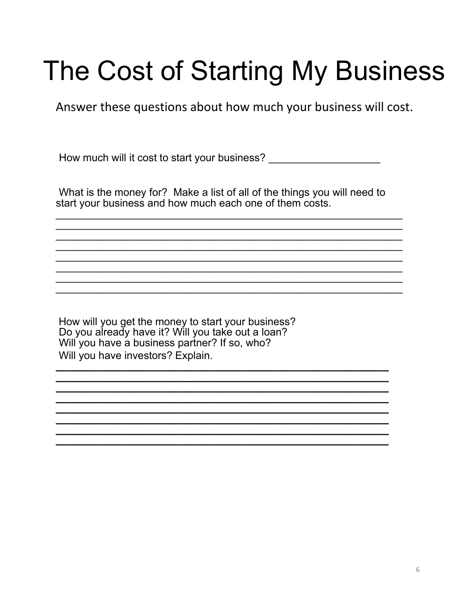#### The Cost of Starting My Business

Answer these questions about how much your business will cost.

How much will it cost to start your business? \_\_\_\_\_\_\_\_\_\_\_\_\_\_\_\_\_\_\_\_\_\_\_\_\_\_\_\_\_\_\_\_\_\_

What is the money for? Make a list of all of the things you will need to start your business and how much each one of them costs.

How will you get the money to start your business?<br>Do you already have it? Will you take out a loan? Will you have a business partner? If so, who? Will you have investors? Explain.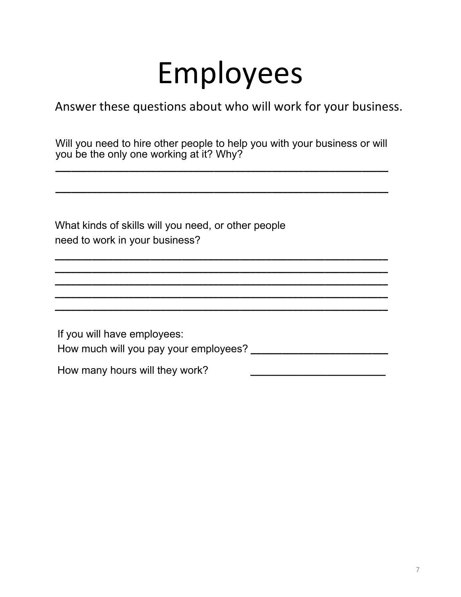#### Employees

Answer these questions about who will work for your business.

Will you need to hire other people to help you with your business or will you be the only one working at it? Why? \_\_\_\_\_\_\_\_\_\_\_\_\_\_\_\_\_\_\_\_\_\_\_\_\_\_\_\_\_\_\_\_\_\_\_\_\_\_\_\_\_\_\_\_\_\_\_\_\_\_\_\_\_\_\_\_\_\_\_\_\_\_\_

\_\_\_\_\_\_\_\_\_\_\_\_\_\_\_\_\_\_\_\_\_\_\_\_\_\_\_\_\_\_\_\_\_\_\_\_\_\_\_\_\_\_\_\_\_\_\_\_\_\_\_\_\_\_\_\_\_\_\_\_\_\_\_

\_\_\_\_\_\_\_\_\_\_\_\_\_\_\_\_\_\_\_\_\_\_\_\_\_\_\_\_\_\_\_\_\_\_\_\_\_\_\_\_\_\_\_\_\_\_\_\_\_\_\_\_\_\_\_\_\_\_\_\_\_\_\_

\_\_\_\_\_\_\_\_\_\_\_\_\_\_\_\_\_\_\_\_\_\_\_\_\_\_\_\_\_\_\_\_\_\_\_\_\_\_\_\_\_\_\_\_\_\_\_\_\_\_\_\_\_\_\_\_\_\_\_\_\_\_\_

What kinds of skills will you need, or other people need to work in your business?

| If you will have employees:           |  |
|---------------------------------------|--|
| How much will you pay your employees? |  |
| How many hours will they work?        |  |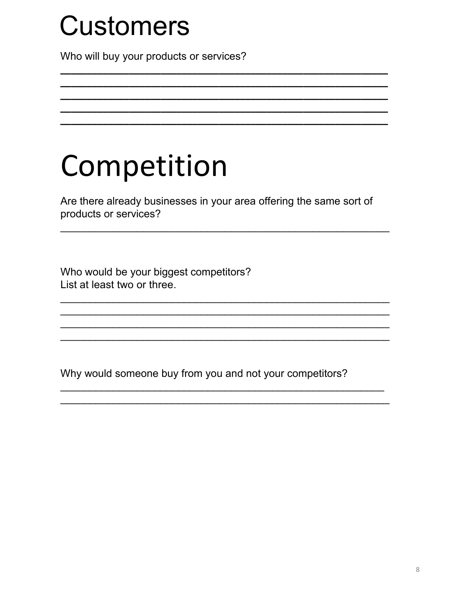#### **Customers**

Who will buy your products or services?

#### Competition

Are there already businesses in your area offering the same sort of products or services?

Who would be your biggest competitors? List at least two or three.

Why would someone buy from you and not your competitors?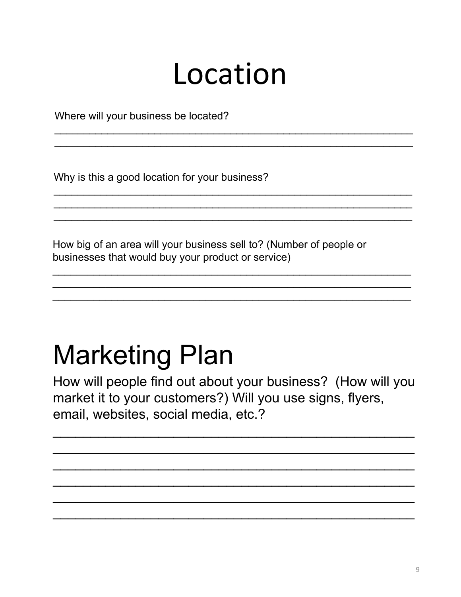#### Location

Where will your business be located?

Why is this a good location for your business?

How big of an area will your business sell to? (Number of people or businesses that would buy your product or service)

#### **Marketing Plan**

How will people find out about your business? (How will you market it to your customers?) Will you use signs, flyers, email, websites, social media, etc.?